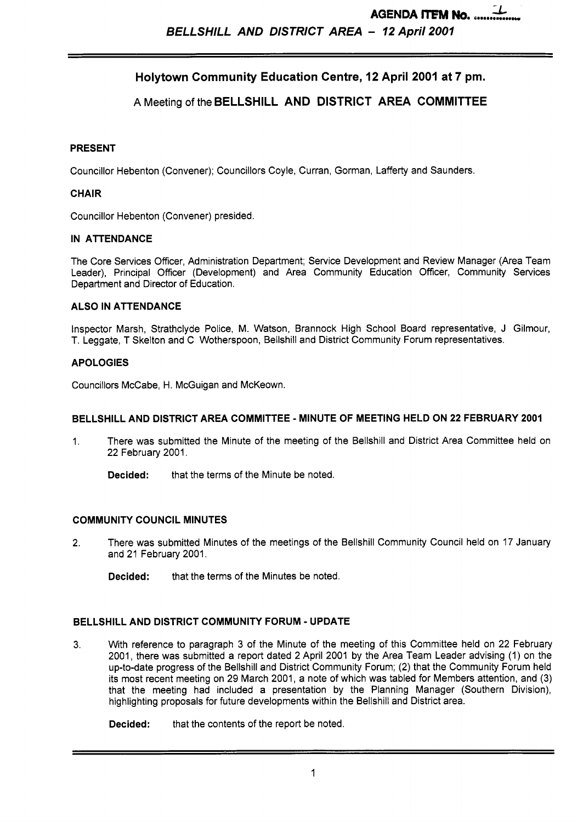# **Holytown Community Education Centre, 12 April 2001 at 7 pm.**

## A Meeting **of** the **BELLSHILL AND DISTRICT AREA COMMITTEE**

#### **PRESENT**

Councillor Hebenton (Convener); Councillors Coyle, Curran, Gorman, Lafferty and Saunders.

#### **CHAIR**

Councillor Hebenton (Convener) presided.

#### **IN ATTENDANCE**

The Core Services Officer, Administration Department; Service Development and Review Manager (Area Team Leader), Principal Officer (Development) and Area Community Education Officer, Community Services Department and Director of Education.

#### **ALSO IN ATTENDANCE**

Inspector Marsh, Strathclyde Police, M. Watson, Brannock High School Board representative, J Gilmour, T. Leggate, T Skelton and C Wotherspoon, Bellshill and District Community Forum representatives.

#### **APOLOGIES**

Councillors McCabe, H. McGuigan and McKeown.

#### **BELLSHILL AND DISTRICT AREA COMMITTEE** - **MINUTE OF MEETING HELD ON 22 FEBRUARY 2001**

- 1. There was submitted the Minute of the meeting of the Bellshill and District Area Committee held on 22 February 2001.
	- **Decided:** that the terms of the Minute be noted.

## **COMMUNITY COUNCIL MINUTES**

- 2. There was submitted Minutes of the meetings of the Bellshill Community Council held on 17 January and 21 February 2001.
	- **Decided:** that the terms of the Minutes be noted.

#### **BELLSHILL AND DISTRICT COMMUNITY FORUM** - **UPDATE**

**3.** With reference to paragraph 3 of the Minute of the meeting of this Committee held on 22 February 2001, there was submitted a report dated 2 April 2001 by the Area Team Leader advising (1) on the up-to-date progress of the Bellshill and District Community Forum; (2) that the Community Forum held its most recent meeting on 29 March 2001, a note of which was tabled for Members attention, and (3) that the meeting had included a presentation by the Planning Manager (Southern Division), highlighting proposals for future developments within the Bellshill and District area.

**Decided:** that the contents of the report be noted.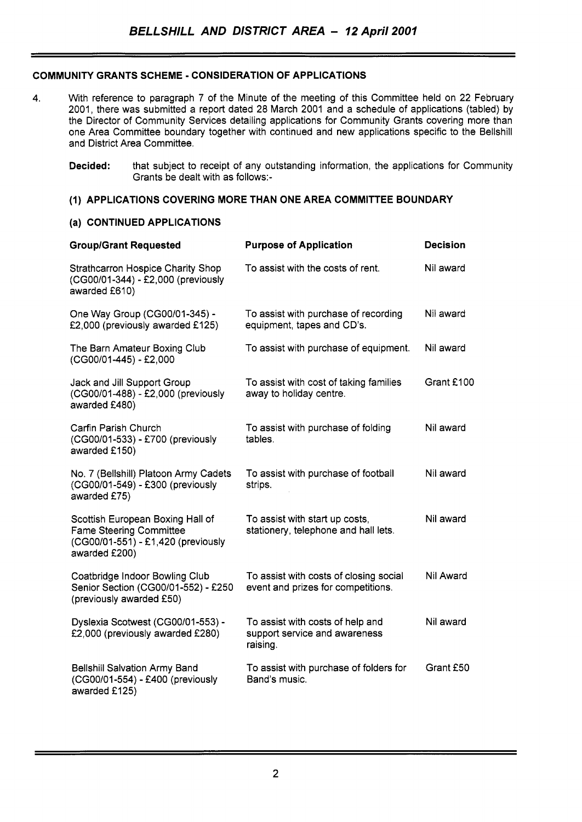## **COMMUNITY GRANTS SCHEME** - **CONSIDERATION OF APPLICATIONS**

- 4. With reference to paragraph 7 of the Minute of the meeting of this Committee held on 22 February 2001, there was submitted a report dated 28 March 2001 and a schedule of applications (tabled) by the Director of Community Services detailing applications for Community Grants covering more than one Area Committee boundary together with continued and new applications specific to the Bellshill and District Area Committee.
	- **Decided:** that subject to receipt of any outstanding information, the applications for Community Grants be dealt with as follows:-

## **(1) APPLICATIONS COVERING MORE THAN ONE AREA COMMITTEE BOUNDARY**

#### **(a) CONTINUED APPLICATIONS**

| <b>Group/Grant Requested</b>                                                                                              | <b>Purpose of Application</b>                                                 | <b>Decision</b> |
|---------------------------------------------------------------------------------------------------------------------------|-------------------------------------------------------------------------------|-----------------|
| <b>Strathcarron Hospice Charity Shop</b><br>(CG00/01-344) - £2,000 (previously<br>awarded £610)                           | To assist with the costs of rent.                                             | Nil award       |
| One Way Group (CG00/01-345) -<br>£2,000 (previously awarded £125)                                                         | To assist with purchase of recording<br>equipment, tapes and CD's.            | Nil award       |
| The Barn Amateur Boxing Club<br>(CG00/01-445) - £2,000                                                                    | To assist with purchase of equipment.                                         | Nil award       |
| Jack and Jill Support Group<br>(CG00/01-488) - £2,000 (previously<br>awarded £480)                                        | To assist with cost of taking families<br>away to holiday centre.             | Grant £100      |
| Carfin Parish Church<br>(CG00/01-533) - £700 (previously<br>awarded £150)                                                 | To assist with purchase of folding<br>tables.                                 | Nil award       |
| No. 7 (Bellshill) Platoon Army Cadets<br>(CG00/01-549) - £300 (previously<br>awarded £75)                                 | To assist with purchase of football<br>strips.                                | Nil award       |
| Scottish European Boxing Hall of<br><b>Fame Steering Committee</b><br>(CG00/01-551) - £1,420 (previously<br>awarded £200) | To assist with start up costs,<br>stationery, telephone and hall lets.        | Nil award       |
| Coatbridge Indoor Bowling Club<br>Senior Section (CG00/01-552) - £250<br>(previously awarded £50)                         | To assist with costs of closing social<br>event and prizes for competitions.  | Nil Award       |
| Dyslexia Scotwest (CG00/01-553) -<br>£2,000 (previously awarded £280)                                                     | To assist with costs of help and<br>support service and awareness<br>raising. | Nil award       |
| <b>Bellshill Salvation Army Band</b><br>(CG00/01-554) - £400 (previously<br>awarded £125)                                 | To assist with purchase of folders for<br>Band's music.                       | Grant £50       |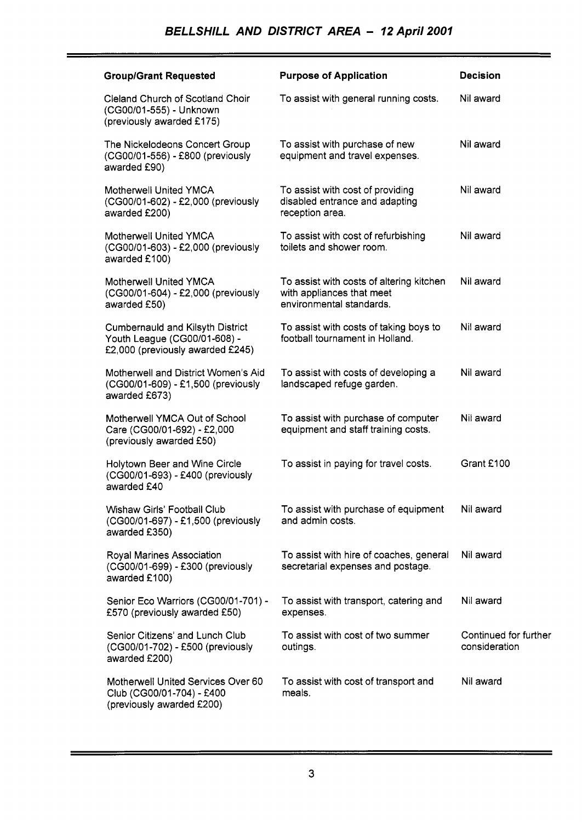$\overline{a}$ 

 $\overline{a}$ 

| <b>Group/Grant Requested</b>                                                                                | <b>Purpose of Application</b>                                                                     | <b>Decision</b>                        |
|-------------------------------------------------------------------------------------------------------------|---------------------------------------------------------------------------------------------------|----------------------------------------|
| Cleland Church of Scotland Choir<br>(CG00/01-555) - Unknown<br>(previously awarded £175)                    | To assist with general running costs.                                                             | Nil award                              |
| The Nickelodeons Concert Group<br>(CG00/01-556) - £800 (previously<br>awarded £90)                          | To assist with purchase of new<br>equipment and travel expenses.                                  | Nil award                              |
| Motherwell United YMCA<br>(CG00/01-602) - £2,000 (previously<br>awarded £200)                               | To assist with cost of providing<br>disabled entrance and adapting<br>reception area.             | Nil award                              |
| Motherwell United YMCA<br>(CG00/01-603) - £2,000 (previously<br>awarded £100)                               | To assist with cost of refurbishing<br>toilets and shower room.                                   | Nil award                              |
| <b>Motherwell United YMCA</b><br>(CG00/01-604) - £2,000 (previously<br>awarded £50)                         | To assist with costs of altering kitchen<br>with appliances that meet<br>environmental standards. | Nil award                              |
| <b>Cumbernauld and Kilsyth District</b><br>Youth League (CG00/01-608) -<br>£2,000 (previously awarded £245) | To assist with costs of taking boys to<br>football tournament in Holland.                         | Nil award                              |
| Motherwell and District Women's Aid<br>(CG00/01-609) - £1,500 (previously<br>awarded £673)                  | To assist with costs of developing a<br>landscaped refuge garden.                                 | Nil award                              |
| Motherwell YMCA Out of School<br>Care (CG00/01-692) - £2,000<br>(previously awarded £50)                    | To assist with purchase of computer<br>equipment and staff training costs.                        | Nil award                              |
| Holytown Beer and Wine Circle<br>(CG00/01-693) - £400 (previously<br>awarded £40                            | To assist in paying for travel costs.                                                             | Grant £100                             |
| <b>Wishaw Girls' Football Club</b><br>(CG00/01-697) - £1,500 (previously<br>awarded £350)                   | To assist with purchase of equipment<br>and admin costs.                                          | Nil award                              |
| Royal Marines Association<br>(CG00/01-699) - £300 (previously<br>awarded £100)                              | To assist with hire of coaches, general<br>secretarial expenses and postage.                      | Nil award                              |
| Senior Eco Warriors (CG00/01-701) -<br>£570 (previously awarded £50)                                        | To assist with transport, catering and<br>expenses.                                               | Nil award                              |
| Senior Citizens' and Lunch Club<br>(CG00/01-702) - £500 (previously<br>awarded £200)                        | To assist with cost of two summer<br>outings.                                                     | Continued for further<br>consideration |
| Motherwell United Services Over 60<br>Club (CG00/01-704) - £400<br>(previously awarded £200)                | To assist with cost of transport and<br>meals.                                                    | Nil award                              |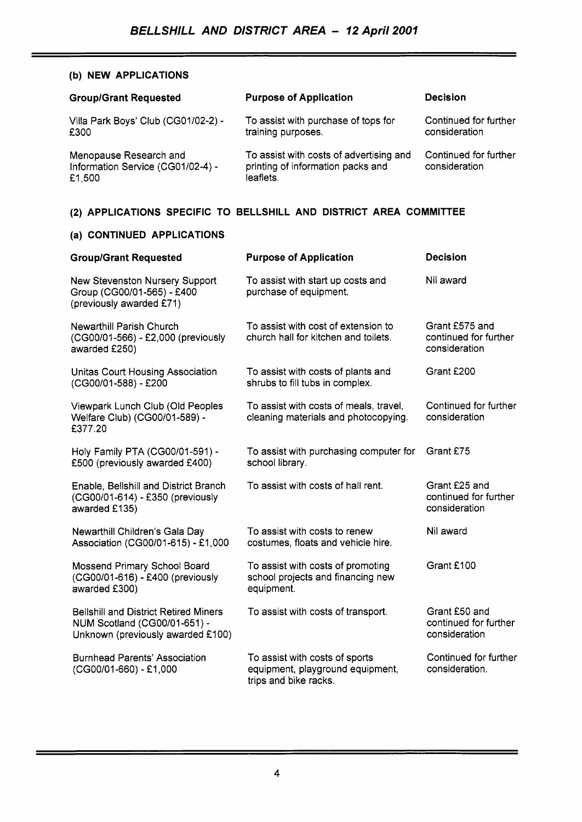#### **(b) NEW APPLICATIONS**

| <b>Group/Grant Requested</b>                                          | <b>Purpose of Application</b>                                                             | <b>Decision</b>                        |
|-----------------------------------------------------------------------|-------------------------------------------------------------------------------------------|----------------------------------------|
| Villa Park Boys' Club (CG01/02-2) -<br>£300                           | To assist with purchase of tops for<br>training purposes.                                 | Continued for further<br>consideration |
| Menopause Research and<br>Information Service (CG01/02-4) -<br>£1,500 | To assist with costs of advertising and<br>printing of information packs and<br>leaflets. | Continued for further<br>consideration |

## **(2) APPLICATIONS SPECIFIC TO BELLSHILL AND DISTRICT AREA COMMITTEE**

## **(a) CONTINUED APPLICATIONS**

| <b>Group/Grant Requested</b>                                                                                      | <b>Purpose of Application</b>                                                               | <b>Decision</b>                                          |
|-------------------------------------------------------------------------------------------------------------------|---------------------------------------------------------------------------------------------|----------------------------------------------------------|
| New Stevenston Nursery Support<br>Group (CG00/01-565) - £400<br>(previously awarded £71)                          | To assist with start up costs and<br>purchase of equipment.                                 | Nil award                                                |
| Newarthill Parish Church<br>(CG00/01-566) - £2,000 (previously<br>awarded £250)                                   | To assist with cost of extension to<br>church hall for kitchen and toilets.                 | Grant £575 and<br>continued for further<br>consideration |
| Unitas Court Housing Association<br>(CG00/01-588) - £200                                                          | To assist with costs of plants and<br>shrubs to fill tubs in complex.                       | Grant £200                                               |
| Viewpark Lunch Club (Old Peoples<br>Welfare Club) (CG00/01-589) -<br>£377.20                                      | To assist with costs of meals, travel,<br>cleaning materials and photocopying.              | Continued for further<br>consideration                   |
| Holy Family PTA (CG00/01-591) -<br>£500 (previously awarded £400)                                                 | To assist with purchasing computer for<br>school library.                                   | Grant £75                                                |
| Enable, Bellshill and District Branch<br>(CG00/01-614) - £350 (previously<br>awarded £135)                        | To assist with costs of hall rent.                                                          | Grant £25 and<br>continued for further<br>consideration  |
| Newarthill Children's Gala Day<br>Association (CG00/01-615) - £1,000                                              | To assist with costs to renew<br>costumes, floats and vehicle hire.                         | Nil award                                                |
| Mossend Primary School Board<br>(CG00/01-616) - £400 (previously<br>awarded £300)                                 | To assist with costs of promoting<br>school projects and financing new<br>equipment.        | Grant £100                                               |
| <b>Bellshill and District Retired Miners</b><br>NUM Scotland (CG00/01-651) -<br>Unknown (previously awarded £100) | To assist with costs of transport.                                                          | Grant £50 and<br>continued for further<br>consideration  |
| <b>Burnhead Parents' Association</b><br>(CG00/01-660) - £1,000                                                    | To assist with costs of sports<br>equipment, playground equipment,<br>trips and bike racks. | Continued for further<br>consideration.                  |